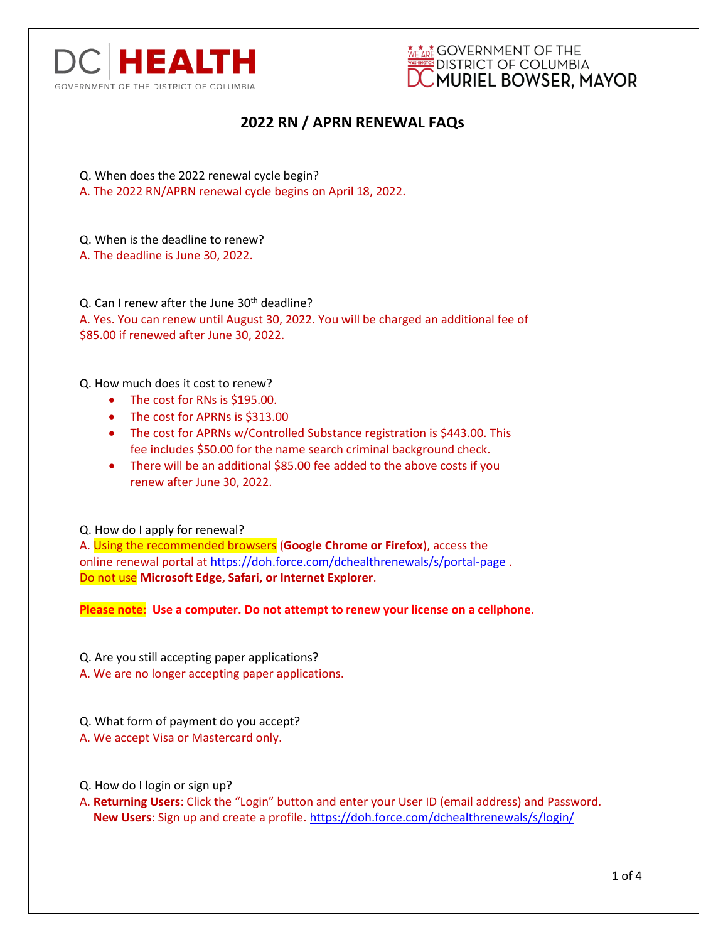



- Q. When does the 2022 renewal cycle begin?
- A. The 2022 RN/APRN renewal cycle begins on April 18, 2022.
- Q. When is the deadline to renew?
- A. The deadline is June 30, 2022.

Q. Can I renew after the June 30<sup>th</sup> deadline? A. Yes. You can renew until August 30, 2022. You will be charged an additional fee of \$85.00 if renewed after June 30, 2022.

Q. How much does it cost to renew?

- The cost for RNs is \$195.00.
- The cost for APRNs is \$313.00
- The cost for APRNs w/Controlled Substance registration is \$443.00. This fee includes \$50.00 for the name search criminal background check.
- There will be an additional \$85.00 fee added to the above costs if you renew after June 30, 2022.

Q. How do I apply for renewal?

A. Using the recommended browsers (**Google Chrome or Firefox**), access the online renewal portal at<https://doh.force.com/dchealthrenewals/s/portal-page> . Do not use **Microsoft Edge, Safari, or Internet Explorer**.

**Please note: Use a computer. Do not attempt to renew your license on a cellphone.**

Q. Are you still accepting paper applications?

- A. We are no longer accepting paper applications.
- Q. What form of payment do you accept?
- A. We accept Visa or Mastercard only.
- Q. How do I login or sign up?
- A. **Returning Users**: Click the "Login" button and enter your User ID (email address) and Password. **New Users**: Sign up and create a profile. <https://doh.force.com/dchealthrenewals/s/login/>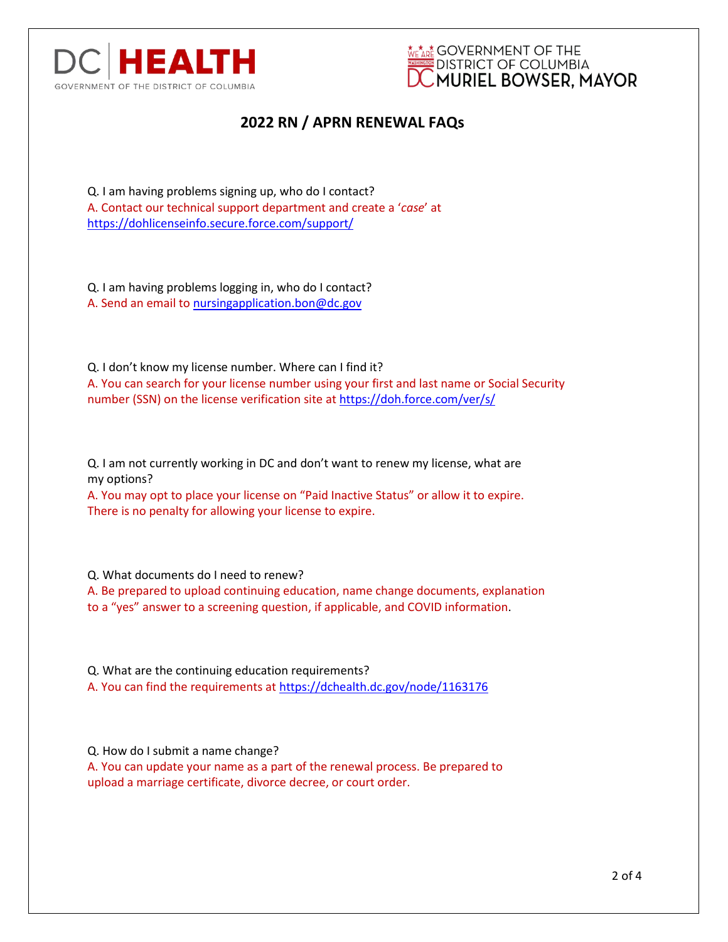



Q. I am having problems signing up, who do I contact? A. Contact our technical support department and create a '*case*' at <https://dohlicenseinfo.secure.force.com/support/>

Q. I am having problems logging in, who do I contact? A. Send an email to [nursingapplication.bon@dc.gov](mailto:nursingapplication.bon@dc.gov)

Q. I don't know my license number. Where can I find it? A. You can search for your license number using your first and last name or Social Security number (SSN) on the license verification site at <https://doh.force.com/ver/s/>

Q. I am not currently working in DC and don't want to renew my license, what are my options?

A. You may opt to place your license on "Paid Inactive Status" or allow it to expire. There is no penalty for allowing your license to expire.

Q. What documents do I need to renew?

A. Be prepared to upload continuing education, name change documents, explanation to a "yes" answer to a screening question, if applicable, and COVID information.

Q. What are the continuing education requirements? A. You can find the requirements at <https://dchealth.dc.gov/node/1163176>

Q. How do I submit a name change? A. You can update your name as a part of the renewal process. Be prepared to

upload a marriage certificate, divorce decree, or court order.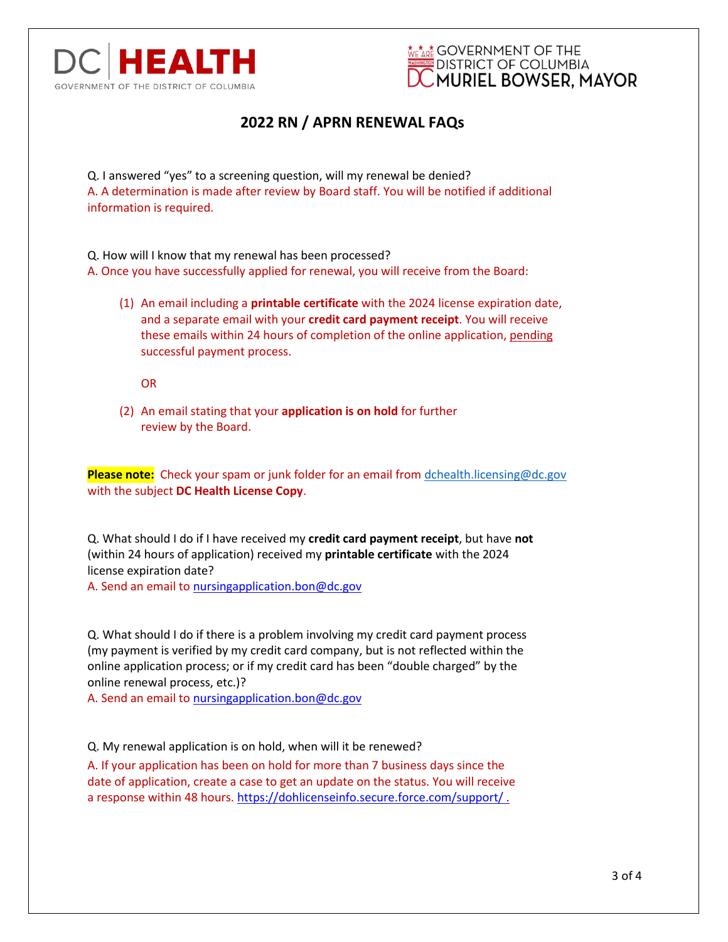



Q. I answered "yes" to a screening question, will my renewal be denied? A. A determination is made after review by Board staff. You will be notified if additional information is required.

Q. How will I know that my renewal has been processed? A. Once you have successfully applied for renewal, you will receive from the Board:

(1) An email including a **printable certificate** with the 2024 license expiration date, and a separate email with your **credit card payment receipt**. You will receive these emails within 24 hours of completion of the online application, pending successful payment process.

OR

(2) An email stating that your **application is on hold** for further review by the Board.

**Please note:** Check your spam or junk folder for an email from [dchealth.licensing@dc.gov](mailto:dchealth.licensing@dc.gov) with the subject **DC Health License Copy**.

Q. What should I do if I have received my **credit card payment receipt**, but have **not** (within 24 hours of application) received my **printable certificate** with the 2024 license expiration date?

A. Send an email to [nursingapplication.bon@dc.gov](mailto:nursingapplication.bon@dc.gov)

Q. What should I do if there is a problem involving my credit card payment process (my payment is verified by my credit card company, but is not reflected within the online application process; or if my credit card has been "double charged" by the online renewal process, etc.)?

A. Send an email to [nursingapplication.bon@dc.gov](mailto:nursingapplication.bon@dc.gov)

Q. My renewal application is on hold, when will it be renewed?

A. If your application has been on hold for more than 7 business days since the date of application, create a case to get an update on the status. You will receive a response within 48 hours. https://dohlicenseinfo.secure.force.com/support/.